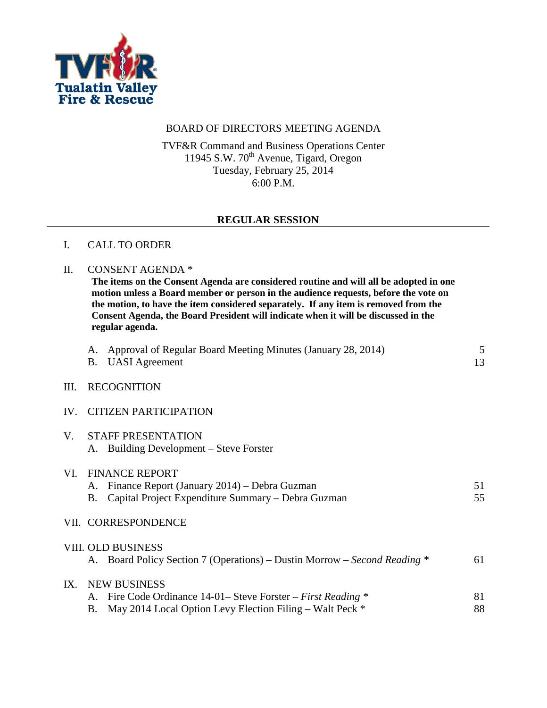

### BOARD OF DIRECTORS MEETING AGENDA

TVF&R Command and Business Operations Center 11945 S.W. 70<sup>th</sup> Avenue, Tigard, Oregon Tuesday, February 25, 2014 6:00 P.M.

#### **REGULAR SESSION**

#### I. CALL TO ORDER

#### II. CONSENT AGENDA \*

**The items on the Consent Agenda are considered routine and will all be adopted in one motion unless a Board member or person in the audience requests, before the vote on the motion, to have the item considered separately. If any item is removed from the Consent Agenda, the Board President will indicate when it will be discussed in the regular agenda.**

|     | А. | Approval of Regular Board Meeting Minutes (January 28, 2014)<br><b>B.</b> UASI Agreement                                                           | 5<br>13  |
|-----|----|----------------------------------------------------------------------------------------------------------------------------------------------------|----------|
| Ш.  |    | <b>RECOGNITION</b>                                                                                                                                 |          |
|     |    | IV. CITIZEN PARTICIPATION                                                                                                                          |          |
| V.  |    | <b>STAFF PRESENTATION</b><br>A. Building Development – Steve Forster                                                                               |          |
| VI. | Β. | <b>FINANCE REPORT</b><br>A. Finance Report (January 2014) – Debra Guzman<br>Capital Project Expenditure Summary - Debra Guzman                     | 51<br>55 |
|     |    | VII. CORRESPONDENCE                                                                                                                                |          |
|     |    | VIII. OLD BUSINESS<br>A. Board Policy Section 7 (Operations) – Dustin Morrow – Second Reading *                                                    | 61       |
| IX. | В. | <b>NEW BUSINESS</b><br>A. Fire Code Ordinance 14-01– Steve Forster – First Reading *<br>May 2014 Local Option Levy Election Filing – Walt Peck $*$ | 81<br>88 |